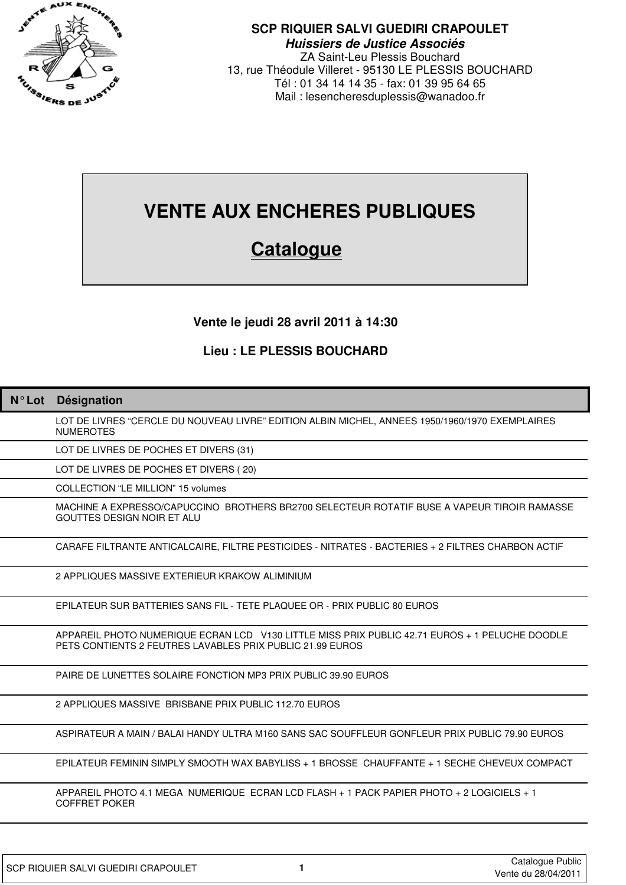

## **SCP RIQUIER SALVI GUEDIRI CRAPOULET Huissiers de Justice Associés**

ZA Saint-Leu Plessis Bouchard 13, rue Théodule Villeret - 95130 LE PLESSIS BOUCHARD Tél : 01 34 14 14 35 - fax: 01 39 95 64 65 Mail : lesencheresduplessis@wanadoo.fr

# **VENTE AUX ENCHERES PUBLIQUES**

## **Catalogue**

## **Vente le jeudi 28 avril 2011 à 14:30**

## **Lieu : LE PLESSIS BOUCHARD**

| $N^{\circ}$ Lot | Désignation                                                                                                                                                 |
|-----------------|-------------------------------------------------------------------------------------------------------------------------------------------------------------|
|                 | LOT DE LIVRES "CERCLE DU NOUVEAU LIVRE" EDITION ALBIN MICHEL, ANNEES 1950/1960/1970 EXEMPLAIRES<br><b>NUMEROTES</b>                                         |
|                 | LOT DE LIVRES DE POCHES ET DIVERS (31)                                                                                                                      |
|                 | LOT DE LIVRES DE POCHES ET DIVERS (20)                                                                                                                      |
|                 | COLLECTION "LE MILLION" 15 volumes                                                                                                                          |
|                 | MACHINE A EXPRESSO/CAPUCCINO BROTHERS BR2700 SELECTEUR ROTATIF BUSE A VAPEUR TIROIR RAMASSE<br><b>GOUTTES DESIGN NOIR ET ALU</b>                            |
|                 | CARAFE FILTRANTE ANTICALCAIRE, FILTRE PESTICIDES - NITRATES - BACTERIES + 2 FILTRES CHARBON ACTIF                                                           |
|                 | 2 APPLIQUES MASSIVE EXTERIEUR KRAKOW ALIMINIUM                                                                                                              |
|                 | EPILATEUR SUR BATTERIES SANS FIL - TETE PLAQUEE OR - PRIX PUBLIC 80 EUROS                                                                                   |
|                 | APPAREIL PHOTO NUMERIQUE ECRAN LCD V130 LITTLE MISS PRIX PUBLIC 42.71 EUROS + 1 PELUCHE DOODLE<br>PETS CONTIENTS 2 FEUTRES LAVABLES PRIX PUBLIC 21.99 EUROS |
|                 | PAIRE DE LUNETTES SOLAIRE FONCTION MP3 PRIX PUBLIC 39.90 EUROS                                                                                              |
|                 | 2 APPLIQUES MASSIVE BRISBANE PRIX PUBLIC 112.70 EUROS                                                                                                       |
|                 | ASPIRATEUR A MAIN / BALAI HANDY ULTRA M160 SANS SAC SOUFFLEUR GONFLEUR PRIX PUBLIC 79.90 EUROS                                                              |
|                 | EPILATEUR FEMININ SIMPLY SMOOTH WAX BABYLISS + 1 BROSSE CHAUFFANTE + 1 SECHE CHEVEUX COMPACT                                                                |
|                 | APPAREIL PHOTO 4.1 MEGA NUMERIQUE ECRAN LCD FLASH + 1 PACK PAPIER PHOTO + 2 LOGICIELS + 1<br><b>COFFRET POKER</b>                                           |
|                 |                                                                                                                                                             |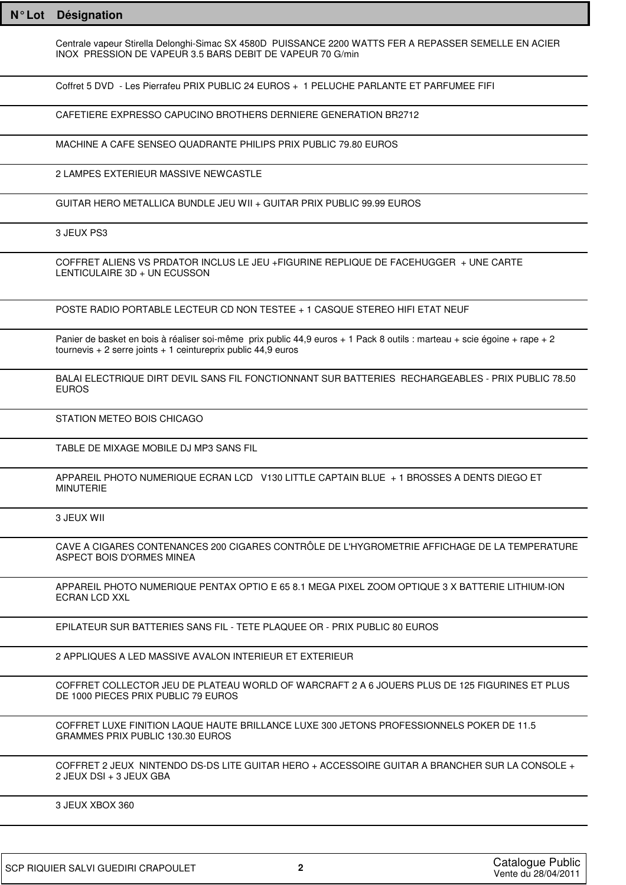| $N^{\circ}$ Lot | <b>Désignation</b>                                                                                                                                                                          |
|-----------------|---------------------------------------------------------------------------------------------------------------------------------------------------------------------------------------------|
|                 | Centrale vapeur Stirella Delonghi-Simac SX 4580D PUISSANCE 2200 WATTS FER A REPASSER SEMELLE EN ACIER<br>INOX PRESSION DE VAPEUR 3.5 BARS DEBIT DE VAPEUR 70 G/min                          |
|                 | Coffret 5 DVD - Les Pierrafeu PRIX PUBLIC 24 EUROS + 1 PELUCHE PARLANTE ET PARFUMEE FIFI                                                                                                    |
|                 | CAFETIERE EXPRESSO CAPUCINO BROTHERS DERNIERE GENERATION BR2712                                                                                                                             |
|                 | MACHINE A CAFE SENSEO QUADRANTE PHILIPS PRIX PUBLIC 79.80 EUROS                                                                                                                             |
|                 | 2 LAMPES EXTERIEUR MASSIVE NEWCASTLE                                                                                                                                                        |
|                 | GUITAR HERO METALLICA BUNDLE JEU WII + GUITAR PRIX PUBLIC 99.99 EUROS                                                                                                                       |
|                 | 3 JEUX PS3                                                                                                                                                                                  |
|                 | COFFRET ALIENS VS PRDATOR INCLUS LE JEU +FIGURINE REPLIQUE DE FACEHUGGER + UNE CARTE<br>LENTICULAIRE 3D + UN ECUSSON                                                                        |
|                 | POSTE RADIO PORTABLE LECTEUR CD NON TESTEE + 1 CASQUE STEREO HIFI ETAT NEUF                                                                                                                 |
|                 | Panier de basket en bois à réaliser soi-même prix public 44,9 euros + 1 Pack 8 outils : marteau + scie égoine + rape + 2<br>tournevis + 2 serre joints + 1 ceintureprix public $44,9$ euros |
|                 | BALAI ELECTRIQUE DIRT DEVIL SANS FIL FONCTIONNANT SUR BATTERIES RECHARGEABLES - PRIX PUBLIC 78.50<br><b>EUROS</b>                                                                           |
|                 | STATION METEO BOIS CHICAGO                                                                                                                                                                  |
|                 | TABLE DE MIXAGE MOBILE DJ MP3 SANS FIL                                                                                                                                                      |
|                 | APPAREIL PHOTO NUMERIQUE ECRAN LCD V130 LITTLE CAPTAIN BLUE + 1 BROSSES A DENTS DIEGO ET<br><b>MINUTERIE</b>                                                                                |
|                 | 3 JEUX WII                                                                                                                                                                                  |
|                 | CAVE A CIGARES CONTENANCES 200 CIGARES CONTRÔLE DE L'HYGROMETRIE AFFICHAGE DE LA TEMPERATURE<br>ASPECT BOIS D'ORMES MINEA                                                                   |
|                 | APPAREIL PHOTO NUMERIQUE PENTAX OPTIO E 65 8.1 MEGA PIXEL ZOOM OPTIQUE 3 X BATTERIE LITHIUM-ION<br>ECRAN LCD XXL                                                                            |
|                 | EPILATEUR SUR BATTERIES SANS FIL - TETE PLAQUEE OR - PRIX PUBLIC 80 EUROS                                                                                                                   |
|                 | 2 APPLIQUES A LED MASSIVE AVALON INTERIEUR ET EXTERIEUR                                                                                                                                     |
|                 | COFFRET COLLECTOR JEU DE PLATEAU WORLD OF WARCRAFT 2 A 6 JOUERS PLUS DE 125 FIGURINES ET PLUS<br>DE 1000 PIECES PRIX PUBLIC 79 EUROS                                                        |
|                 | COFFRET LUXE FINITION LAQUE HAUTE BRILLANCE LUXE 300 JETONS PROFESSIONNELS POKER DE 11.5<br>GRAMMES PRIX PUBLIC 130.30 EUROS                                                                |
|                 | COFFRET 2 JEUX NINTENDO DS-DS LITE GUITAR HERO + ACCESSOIRE GUITAR A BRANCHER SUR LA CONSOLE +<br>2 JEUX DSI + 3 JEUX GBA                                                                   |
|                 | 3 JEUX XBOX 360                                                                                                                                                                             |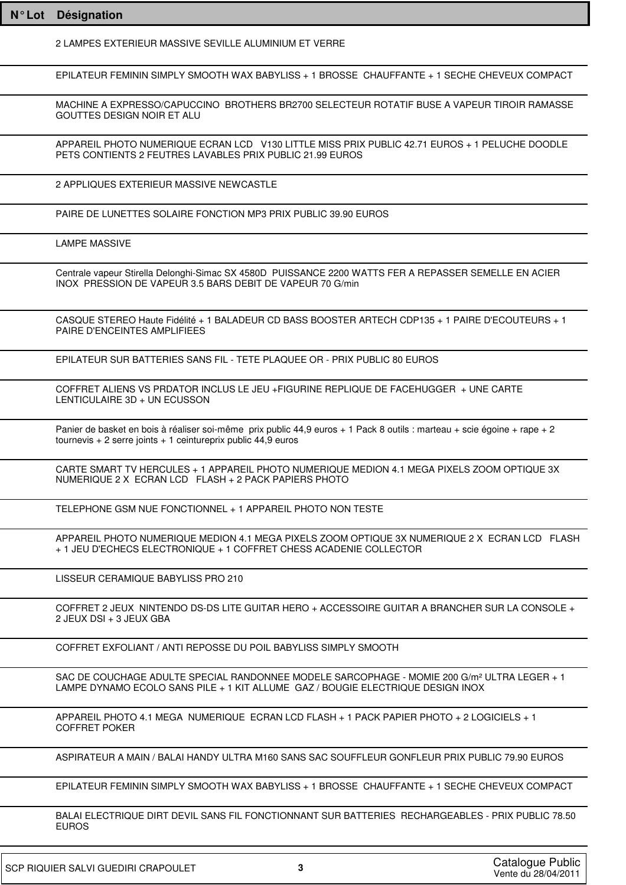| $N^{\circ}$ Lot | Désignation                                                                                                                                                                                 |
|-----------------|---------------------------------------------------------------------------------------------------------------------------------------------------------------------------------------------|
|                 | 2 LAMPES EXTERIEUR MASSIVE SEVILLE ALUMINIUM ET VERRE                                                                                                                                       |
|                 | EPILATEUR FEMININ SIMPLY SMOOTH WAX BABYLISS + 1 BROSSE CHAUFFANTE + 1 SECHE CHEVEUX COMPACT                                                                                                |
|                 | MACHINE A EXPRESSO/CAPUCCINO BROTHERS BR2700 SELECTEUR ROTATIF BUSE A VAPEUR TIROIR RAMASSE<br><b>GOUTTES DESIGN NOIR ET ALU</b>                                                            |
|                 | APPAREIL PHOTO NUMERIQUE ECRAN LCD V130 LITTLE MISS PRIX PUBLIC 42.71 EUROS + 1 PELUCHE DOODLE<br>PETS CONTIENTS 2 FEUTRES LAVABLES PRIX PUBLIC 21.99 EUROS                                 |
|                 | 2 APPLIQUES EXTERIEUR MASSIVE NEWCASTLE                                                                                                                                                     |
|                 | PAIRE DE LUNETTES SOLAIRE FONCTION MP3 PRIX PUBLIC 39.90 EUROS                                                                                                                              |
|                 | <b>LAMPE MASSIVE</b>                                                                                                                                                                        |
|                 | Centrale vapeur Stirella Delonghi-Simac SX 4580D PUISSANCE 2200 WATTS FER A REPASSER SEMELLE EN ACIER<br>INOX PRESSION DE VAPEUR 3.5 BARS DEBIT DE VAPEUR 70 G/min                          |
|                 | CASQUE STEREO Haute Fidélité + 1 BALADEUR CD BASS BOOSTER ARTECH CDP135 + 1 PAIRE D'ECOUTEURS + 1<br>PAIRE D'ENCEINTES AMPLIFIEES                                                           |
|                 | EPILATEUR SUR BATTERIES SANS FIL - TETE PLAQUEE OR - PRIX PUBLIC 80 EUROS                                                                                                                   |
|                 | COFFRET ALIENS VS PRDATOR INCLUS LE JEU +FIGURINE REPLIQUE DE FACEHUGGER + UNE CARTE<br>LENTICULAIRE 3D + UN ECUSSON                                                                        |
|                 | Panier de basket en bois à réaliser soi-même prix public 44,9 euros + 1 Pack 8 outils : marteau + scie égoine + rape + 2<br>tournevis + 2 serre joints + 1 ceintureprix public $44,9$ euros |
|                 | CARTE SMART TV HERCULES + 1 APPAREIL PHOTO NUMERIQUE MEDION 4.1 MEGA PIXELS ZOOM OPTIQUE 3X<br>NUMERIQUE 2 X ECRAN LCD FLASH + 2 PACK PAPIERS PHOTO                                         |
|                 | TELEPHONE GSM NUE FONCTIONNEL + 1 APPAREIL PHOTO NON TESTE                                                                                                                                  |
|                 | APPAREIL PHOTO NUMERIQUE MEDION 4.1 MEGA PIXELS ZOOM OPTIQUE 3X NUMERIQUE 2 X ECRAN LCD FLASH<br>+ 1 JEU D'ECHECS ELECTRONIQUE + 1 COFFRET CHESS ACADENIE COLLECTOR                         |
|                 | LISSEUR CERAMIQUE BABYLISS PRO 210                                                                                                                                                          |
|                 | COFFRET 2 JEUX NINTENDO DS-DS LITE GUITAR HERO + ACCESSOIRE GUITAR A BRANCHER SUR LA CONSOLE +<br>2 JEUX DSI + 3 JEUX GBA                                                                   |
|                 | COFFRET EXFOLIANT / ANTI REPOSSE DU POIL BABYLISS SIMPLY SMOOTH                                                                                                                             |
|                 | SAC DE COUCHAGE ADULTE SPECIAL RANDONNEE MODELE SARCOPHAGE - MOMIE 200 G/m² ULTRA LEGER + 1<br>LAMPE DYNAMO ECOLO SANS PILE + 1 KIT ALLUME GAZ / BOUGIE ELECTRIQUE DESIGN INOX              |
|                 | APPAREIL PHOTO 4.1 MEGA_NUMERIQUE_ECRAN LCD FLASH + 1 PACK PAPIER PHOTO + 2 LOGICIELS + 1<br>COFFRET POKER                                                                                  |
|                 | ASPIRATEUR A MAIN / BALAI HANDY ULTRA M160 SANS SAC SOUFFLEUR GONFLEUR PRIX PUBLIC 79.90 EUROS                                                                                              |
|                 | EPILATEUR FEMININ SIMPLY SMOOTH WAX BABYLISS + 1 BROSSE CHAUFFANTE + 1 SECHE CHEVEUX COMPACT                                                                                                |
|                 | BALAI ELECTRIQUE DIRT DEVIL SANS FIL FONCTIONNANT SUR BATTERIES RECHARGEABLES - PRIX PUBLIC 78.50<br><b>EUROS</b>                                                                           |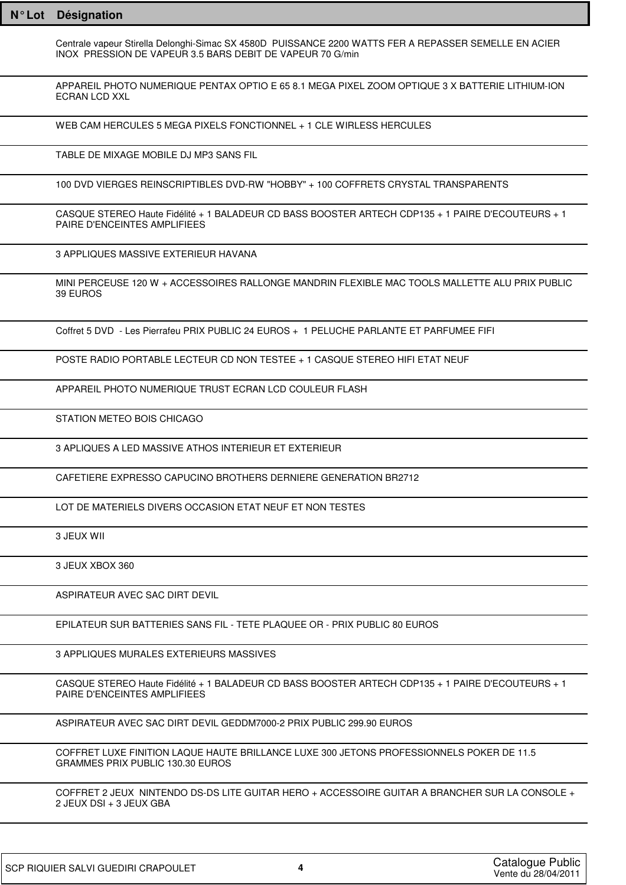Centrale vapeur Stirella Delonghi-Simac SX 4580D PUISSANCE 2200 WATTS FER A REPASSER SEMELLE EN ACIER INOX PRESSION DE VAPEUR 3.5 BARS DEBIT DE VAPEUR 70 G/min

APPAREIL PHOTO NUMERIQUE PENTAX OPTIO E 65 8.1 MEGA PIXEL ZOOM OPTIQUE 3 X BATTERIE LITHIUM-ION ECRAN LCD XXL

WEB CAM HERCULES 5 MEGA PIXELS FONCTIONNEL + 1 CLE WIRLESS HERCULES

TABLE DE MIXAGE MOBILE DJ MP3 SANS FIL

100 DVD VIERGES REINSCRIPTIBLES DVD-RW "HOBBY" + 100 COFFRETS CRYSTAL TRANSPARENTS

CASQUE STEREO Haute Fidélité + 1 BALADEUR CD BASS BOOSTER ARTECH CDP135 + 1 PAIRE D'ECOUTEURS + 1 PAIRE D'ENCEINTES AMPLIFIEES

3 APPLIQUES MASSIVE EXTERIEUR HAVANA

MINI PERCEUSE 120 W + ACCESSOIRES RALLONGE MANDRIN FLEXIBLE MAC TOOLS MALLETTE ALU PRIX PUBLIC 39 EUROS

Coffret 5 DVD - Les Pierrafeu PRIX PUBLIC 24 EUROS + 1 PELUCHE PARLANTE ET PARFUMEE FIFI

POSTE RADIO PORTABLE LECTEUR CD NON TESTEE + 1 CASQUE STEREO HIFI ETAT NEUF

APPAREIL PHOTO NUMERIQUE TRUST ECRAN LCD COULEUR FLASH

STATION METEO BOIS CHICAGO

3 APLIQUES A LED MASSIVE ATHOS INTERIEUR ET EXTERIEUR

CAFETIERE EXPRESSO CAPUCINO BROTHERS DERNIERE GENERATION BR2712

LOT DE MATERIELS DIVERS OCCASION ETAT NEUF ET NON TESTES

3 JEUX WII

3 JEUX XBOX 360

ASPIRATEUR AVEC SAC DIRT DEVIL

EPILATEUR SUR BATTERIES SANS FIL - TETE PLAQUEE OR - PRIX PUBLIC 80 EUROS

3 APPLIQUES MURALES EXTERIEURS MASSIVES

CASQUE STEREO Haute Fidélité + 1 BALADEUR CD BASS BOOSTER ARTECH CDP135 + 1 PAIRE D'ECOUTEURS + 1 PAIRE D'ENCEINTES AMPLIFIEES

ASPIRATEUR AVEC SAC DIRT DEVIL GEDDM7000-2 PRIX PUBLIC 299.90 EUROS

COFFRET LUXE FINITION LAQUE HAUTE BRILLANCE LUXE 300 JETONS PROFESSIONNELS POKER DE 11.5 GRAMMES PRIX PUBLIC 130.30 EUROS

COFFRET 2 JEUX NINTENDO DS-DS LITE GUITAR HERO + ACCESSOIRE GUITAR A BRANCHER SUR LA CONSOLE + 2 JEUX DSI + 3 JEUX GBA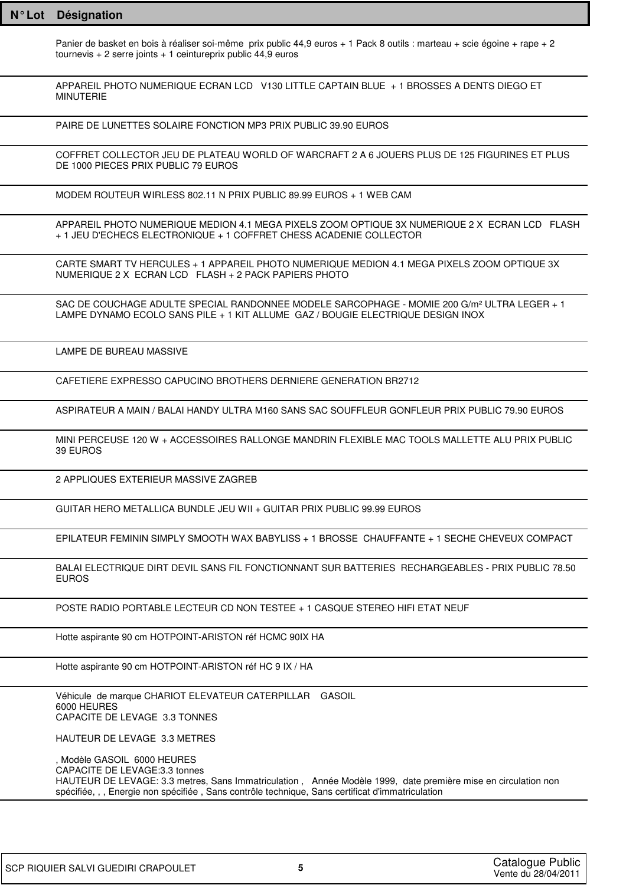Panier de basket en bois à réaliser soi-même prix public 44,9 euros + 1 Pack 8 outils : marteau + scie égoine + rape + 2 tournevis  $+ 2$  serre joints  $+ 1$  ceintureprix public 44,9 euros

APPAREIL PHOTO NUMERIQUE ECRAN LCD V130 LITTLE CAPTAIN BLUE + 1 BROSSES A DENTS DIEGO ET MINUTERIE

PAIRE DE LUNETTES SOLAIRE FONCTION MP3 PRIX PUBLIC 39.90 EUROS

COFFRET COLLECTOR JEU DE PLATEAU WORLD OF WARCRAFT 2 A 6 JOUERS PLUS DE 125 FIGURINES ET PLUS DE 1000 PIECES PRIX PUBLIC 79 EUROS

MODEM ROUTEUR WIRLESS 802.11 N PRIX PUBLIC 89.99 EUROS + 1 WEB CAM

APPAREIL PHOTO NUMERIQUE MEDION 4.1 MEGA PIXELS ZOOM OPTIQUE 3X NUMERIQUE 2 X ECRAN LCD FLASH + 1 JEU D'ECHECS ELECTRONIQUE + 1 COFFRET CHESS ACADENIE COLLECTOR

CARTE SMART TV HERCULES + 1 APPAREIL PHOTO NUMERIQUE MEDION 4.1 MEGA PIXELS ZOOM OPTIQUE 3X NUMERIQUE 2 X ECRAN LCD FLASH + 2 PACK PAPIERS PHOTO

SAC DE COUCHAGE ADULTE SPECIAL RANDONNEE MODELE SARCOPHAGE - MOMIE 200 G/m² ULTRA LEGER + 1 LAMPE DYNAMO ECOLO SANS PILE + 1 KIT ALLUME GAZ / BOUGIE ELECTRIQUE DESIGN INOX

LAMPE DE BUREAU MASSIVE

CAFETIERE EXPRESSO CAPUCINO BROTHERS DERNIERE GENERATION BR2712

ASPIRATEUR A MAIN / BALAI HANDY ULTRA M160 SANS SAC SOUFFLEUR GONFLEUR PRIX PUBLIC 79.90 EUROS

MINI PERCEUSE 120 W + ACCESSOIRES RALLONGE MANDRIN FLEXIBLE MAC TOOLS MALLETTE ALU PRIX PUBLIC 39 EUROS

2 APPLIQUES EXTERIEUR MASSIVE ZAGREB

GUITAR HERO METALLICA BUNDLE JEU WII + GUITAR PRIX PUBLIC 99.99 EUROS

EPILATEUR FEMININ SIMPLY SMOOTH WAX BABYLISS + 1 BROSSE CHAUFFANTE + 1 SECHE CHEVEUX COMPACT

BALAI ELECTRIQUE DIRT DEVIL SANS FIL FONCTIONNANT SUR BATTERIES RECHARGEABLES - PRIX PUBLIC 78.50 **FUROS** 

POSTE RADIO PORTABLE LECTEUR CD NON TESTEE + 1 CASQUE STEREO HIFI ETAT NEUF

Hotte aspirante 90 cm HOTPOINT-ARISTON réf HCMC 90IX HA

Hotte aspirante 90 cm HOTPOINT-ARISTON réf HC 9 IX / HA

Véhicule de marque CHARIOT ELEVATEUR CATERPILLAR GASOIL 6000 HEURES CAPACITE DE LEVAGE 3.3 TONNES

HAUTEUR DE LEVAGE 3.3 METRES

, Modèle GASOIL 6000 HEURES CAPACITE DE LEVAGE:3.3 tonnes HAUTEUR DE LEVAGE: 3.3 metres, Sans Immatriculation , Année Modèle 1999, date première mise en circulation non spécifiée, , , Energie non spécifiée , Sans contrôle technique, Sans certificat d'immatriculation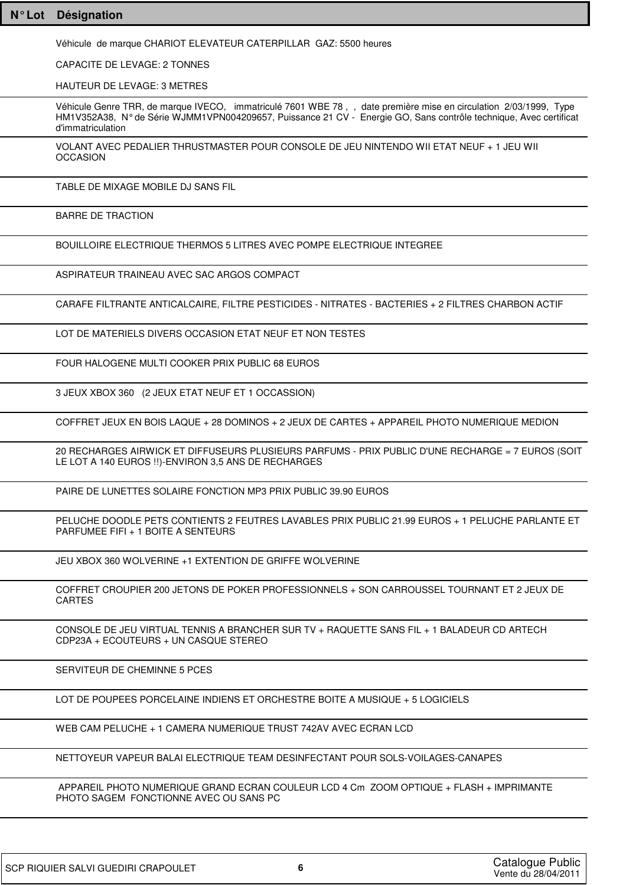Véhicule de marque CHARIOT ELEVATEUR CATERPILLAR GAZ: 5500 heures

CAPACITE DE LEVAGE: 2 TONNES

HAUTEUR DE LEVAGE: 3 METRES

Véhicule Genre TRR, de marque IVECO, immatriculé 7601 WBE 78 , , date première mise en circulation 2/03/1999, Type HM1V352A38, N° de Série WJMM1VPN004209657, Puissance 21 CV - Energie GO, Sans contrôle technique, Avec certificat d'immatriculation

VOLANT AVEC PEDALIER THRUSTMASTER POUR CONSOLE DE JEU NINTENDO WII ETAT NEUF + 1 JEU WII **OCCASION** 

TABLE DE MIXAGE MOBILE DJ SANS FIL

BARRE DE TRACTION

BOUILLOIRE ELECTRIQUE THERMOS 5 LITRES AVEC POMPE ELECTRIQUE INTEGREE

ASPIRATEUR TRAINEAU AVEC SAC ARGOS COMPACT

CARAFE FILTRANTE ANTICALCAIRE, FILTRE PESTICIDES - NITRATES - BACTERIES + 2 FILTRES CHARBON ACTIF

LOT DE MATERIELS DIVERS OCCASION ETAT NEUF ET NON TESTES

FOUR HALOGENE MULTI COOKER PRIX PUBLIC 68 EUROS

3 JEUX XBOX 360 (2 JEUX ETAT NEUF ET 1 OCCASSION)

COFFRET JEUX EN BOIS LAQUE + 28 DOMINOS + 2 JEUX DE CARTES + APPAREIL PHOTO NUMERIQUE MEDION

20 RECHARGES AIRWICK ET DIFFUSEURS PLUSIEURS PARFUMS - PRIX PUBLIC D'UNE RECHARGE = 7 EUROS (SOIT LE LOT A 140 EUROS !!)-ENVIRON 3,5 ANS DE RECHARGES

PAIRE DE LUNETTES SOLAIRE FONCTION MP3 PRIX PUBLIC 39.90 EUROS

PELUCHE DOODLE PETS CONTIENTS 2 FEUTRES LAVABLES PRIX PUBLIC 21.99 EUROS + 1 PELUCHE PARLANTE ET PARFUMEE FIFI + 1 BOITE A SENTEURS

JEU XBOX 360 WOLVERINE +1 EXTENTION DE GRIFFE WOLVERINE

COFFRET CROUPIER 200 JETONS DE POKER PROFESSIONNELS + SON CARROUSSEL TOURNANT ET 2 JEUX DE CARTES

CONSOLE DE JEU VIRTUAL TENNIS A BRANCHER SUR TV + RAQUETTE SANS FIL + 1 BALADEUR CD ARTECH CDP23A + ECOUTEURS + UN CASQUE STEREO

SERVITEUR DE CHEMINNE 5 PCES

LOT DE POUPEES PORCELAINE INDIENS ET ORCHESTRE BOITE A MUSIQUE + 5 LOGICIELS

WEB CAM PELUCHE + 1 CAMERA NUMERIQUE TRUST 742AV AVEC ECRAN LCD

NETTOYEUR VAPEUR BALAI ELECTRIQUE TEAM DESINFECTANT POUR SOLS-VOILAGES-CANAPES

 APPAREIL PHOTO NUMERIQUE GRAND ECRAN COULEUR LCD 4 Cm ZOOM OPTIQUE + FLASH + IMPRIMANTE PHOTO SAGEM FONCTIONNE AVEC OU SANS PC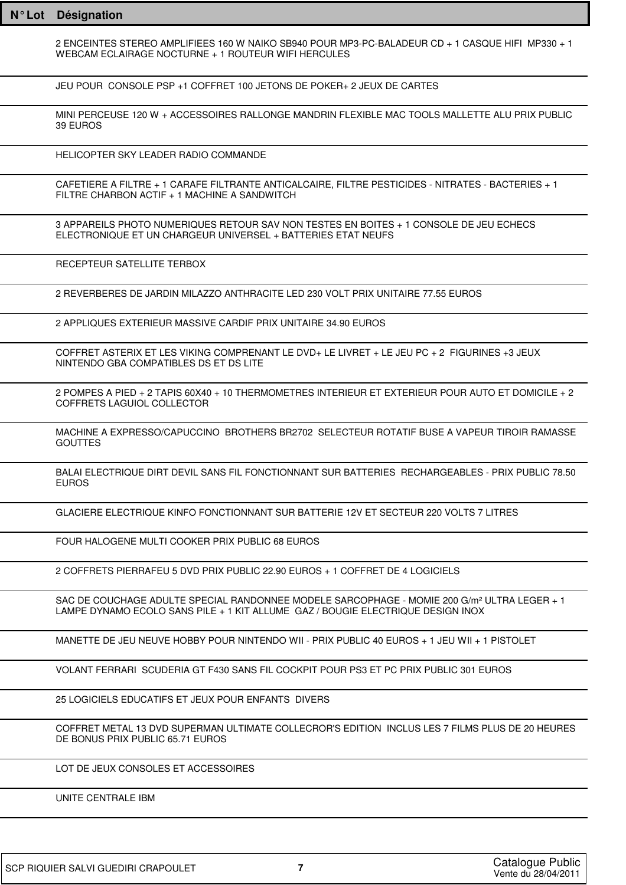| $N^{\circ}$ Lot | Désignation                                                                                                                                                                                |
|-----------------|--------------------------------------------------------------------------------------------------------------------------------------------------------------------------------------------|
|                 | 2 ENCEINTES STEREO AMPLIFIEES 160 W NAIKO SB940 POUR MP3-PC-BALADEUR CD + 1 CASQUE HIFI MP330 + 1<br>WEBCAM ECLAIRAGE NOCTURNE + 1 ROUTEUR WIFI HERCULES                                   |
|                 | JEU POUR CONSOLE PSP +1 COFFRET 100 JETONS DE POKER+ 2 JEUX DE CARTES                                                                                                                      |
|                 | MINI PERCEUSE 120 W + ACCESSOIRES RALLONGE MANDRIN FLEXIBLE MAC TOOLS MALLETTE ALU PRIX PUBLIC<br>39 EUROS                                                                                 |
|                 | HELICOPTER SKY LEADER RADIO COMMANDE                                                                                                                                                       |
|                 | CAFETIERE A FILTRE + 1 CARAFE FILTRANTE ANTICALCAIRE, FILTRE PESTICIDES - NITRATES - BACTERIES + 1<br>FILTRE CHARBON ACTIF + 1 MACHINE A SANDWITCH                                         |
|                 | 3 APPAREILS PHOTO NUMERIQUES RETOUR SAV NON TESTES EN BOITES + 1 CONSOLE DE JEU ECHECS<br>ELECTRONIQUE ET UN CHARGEUR UNIVERSEL + BATTERIES ETAT NEUFS                                     |
|                 | RECEPTEUR SATELLITE TERBOX                                                                                                                                                                 |
|                 | 2 REVERBERES DE JARDIN MILAZZO ANTHRACITE LED 230 VOLT PRIX UNITAIRE 77.55 EUROS                                                                                                           |
|                 | 2 APPLIQUES EXTERIEUR MASSIVE CARDIF PRIX UNITAIRE 34.90 EUROS                                                                                                                             |
|                 | COFFRET ASTERIX ET LES VIKING COMPRENANT LE DVD+ LE LIVRET + LE JEU PC + 2 FIGURINES +3 JEUX<br>NINTENDO GBA COMPATIBLES DS ET DS LITE                                                     |
|                 | 2 POMPES A PIED + 2 TAPIS 60X40 + 10 THERMOMETRES INTERIEUR ET EXTERIEUR POUR AUTO ET DOMICILE + 2<br>COFFRETS LAGUIOL COLLECTOR                                                           |
|                 | MACHINE A EXPRESSO/CAPUCCINO BROTHERS BR2702 SELECTEUR ROTATIF BUSE A VAPEUR TIROIR RAMASSE<br><b>GOUTTES</b>                                                                              |
|                 | BALAI ELECTRIQUE DIRT DEVIL SANS FIL FONCTIONNANT SUR BATTERIES RECHARGEABLES - PRIX PUBLIC 78.50<br><b>EUROS</b>                                                                          |
|                 | GLACIERE ELECTRIQUE KINFO FONCTIONNANT SUR BATTERIE 12V ET SECTEUR 220 VOLTS 7 LITRES                                                                                                      |
|                 | FOUR HALOGENE MULTI COOKER PRIX PUBLIC 68 EUROS                                                                                                                                            |
|                 | 2 COFFRETS PIERRAFEU 5 DVD PRIX PUBLIC 22.90 EUROS + 1 COFFRET DE 4 LOGICIELS                                                                                                              |
|                 | SAC DE COUCHAGE ADULTE SPECIAL RANDONNEE MODELE SARCOPHAGE - MOMIE 200 G/m <sup>2</sup> ULTRA LEGER + 1<br>LAMPE DYNAMO ECOLO SANS PILE + 1 KIT ALLUME GAZ / BOUGIE ELECTRIQUE DESIGN INOX |
|                 | MANETTE DE JEU NEUVE HOBBY POUR NINTENDO WII - PRIX PUBLIC 40 EUROS + 1 JEU WII + 1 PISTOLET                                                                                               |
|                 | VOLANT FERRARI SCUDERIA GT F430 SANS FIL COCKPIT POUR PS3 ET PC PRIX PUBLIC 301 EUROS                                                                                                      |
|                 | 25 LOGICIELS EDUCATIFS ET JEUX POUR ENFANTS DIVERS                                                                                                                                         |
|                 | COFFRET METAL 13 DVD SUPERMAN ULTIMATE COLLECROR'S EDITION INCLUS LES 7 FILMS PLUS DE 20 HEURES<br>DE BONUS PRIX PUBLIC 65.71 EUROS                                                        |
|                 | LOT DE JEUX CONSOLES ET ACCESSOIRES                                                                                                                                                        |
|                 | UNITE CENTRALE IBM                                                                                                                                                                         |
|                 |                                                                                                                                                                                            |

1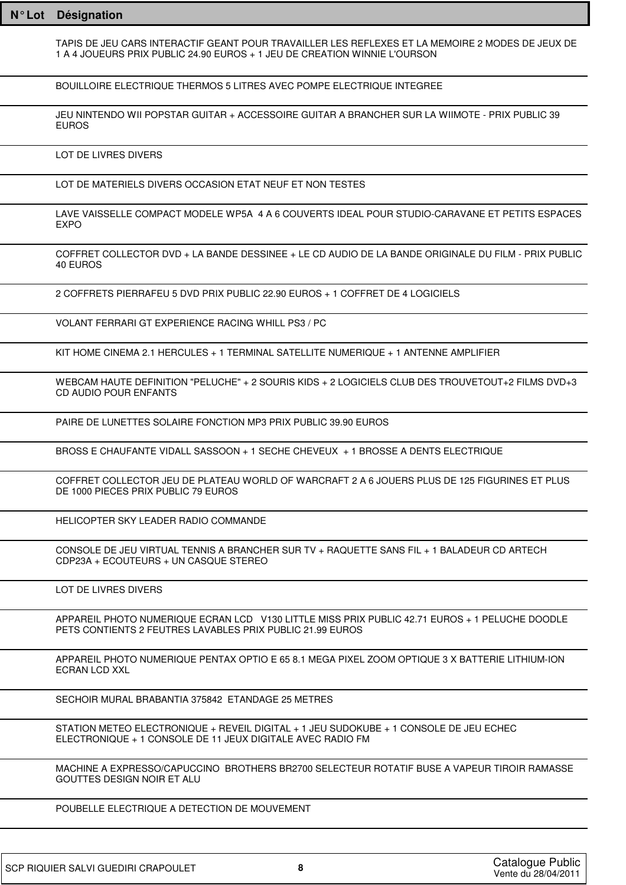| $N^{\circ}$ Lot | Désignation                                                                                                                                                                   |
|-----------------|-------------------------------------------------------------------------------------------------------------------------------------------------------------------------------|
|                 | TAPIS DE JEU CARS INTERACTIF GEANT POUR TRAVAILLER LES REFLEXES ET LA MEMOIRE 2 MODES DE JEUX DE<br>1 A 4 JOUEURS PRIX PUBLIC 24.90 EUROS + 1 JEU DE CREATION WINNIE L'OURSON |
|                 | BOUILLOIRE ELECTRIQUE THERMOS 5 LITRES AVEC POMPE ELECTRIQUE INTEGREE                                                                                                         |
|                 | JEU NINTENDO WII POPSTAR GUITAR + ACCESSOIRE GUITAR A BRANCHER SUR LA WIIMOTE - PRIX PUBLIC 39<br><b>EUROS</b>                                                                |
|                 | LOT DE LIVRES DIVERS                                                                                                                                                          |
|                 | LOT DE MATERIELS DIVERS OCCASION ETAT NEUF ET NON TESTES                                                                                                                      |
|                 | LAVE VAISSELLE COMPACT MODELE WP5A 4 A 6 COUVERTS IDEAL POUR STUDIO-CARAVANE ET PETITS ESPACES<br><b>EXPO</b>                                                                 |
|                 | COFFRET COLLECTOR DVD + LA BANDE DESSINEE + LE CD AUDIO DE LA BANDE ORIGINALE DU FILM - PRIX PUBLIC<br>40 EUROS                                                               |
|                 | 2 COFFRETS PIERRAFEU 5 DVD PRIX PUBLIC 22.90 EUROS + 1 COFFRET DE 4 LOGICIELS                                                                                                 |
|                 | VOLANT FERRARI GT EXPERIENCE RACING WHILL PS3 / PC                                                                                                                            |
|                 | KIT HOME CINEMA 2.1 HERCULES + 1 TERMINAL SATELLITE NUMERIQUE + 1 ANTENNE AMPLIFIER                                                                                           |
|                 | WEBCAM HAUTE DEFINITION "PELUCHE" + 2 SOURIS KIDS + 2 LOGICIELS CLUB DES TROUVETOUT+2 FILMS DVD+3<br><b>CD AUDIO POUR ENFANTS</b>                                             |
|                 | PAIRE DE LUNETTES SOLAIRE FONCTION MP3 PRIX PUBLIC 39.90 EUROS                                                                                                                |
|                 | BROSS E CHAUFANTE VIDALL SASSOON + 1 SECHE CHEVEUX + 1 BROSSE A DENTS ELECTRIQUE                                                                                              |
|                 | COFFRET COLLECTOR JEU DE PLATEAU WORLD OF WARCRAFT 2 A 6 JOUERS PLUS DE 125 FIGURINES ET PLUS<br>DE 1000 PIECES PRIX PUBLIC 79 EUROS                                          |
|                 | HELICOPTER SKY LEADER RADIO COMMANDE                                                                                                                                          |
|                 | CONSOLE DE JEU VIRTUAL TENNIS A BRANCHER SUR TV + RAQUETTE SANS FIL + 1 BALADEUR CD ARTECH<br>CDP23A + ECOUTEURS + UN CASQUE STEREO                                           |
|                 | LOT DE LIVRES DIVERS                                                                                                                                                          |
|                 | APPAREIL PHOTO NUMERIQUE ECRAN LCD V130 LITTLE MISS PRIX PUBLIC 42.71 EUROS + 1 PELUCHE DOODLE<br>PETS CONTIENTS 2 FEUTRES LAVABLES PRIX PUBLIC 21.99 EUROS                   |
|                 | APPAREIL PHOTO NUMERIQUE PENTAX OPTIO E 65 8.1 MEGA PIXEL ZOOM OPTIQUE 3 X BATTERIE LITHIUM-ION<br>ECRAN LCD XXL                                                              |
|                 | SECHOIR MURAL BRABANTIA 375842 ETANDAGE 25 METRES                                                                                                                             |
|                 | STATION METEO ELECTRONIQUE + REVEIL DIGITAL + 1 JEU SUDOKUBE + 1 CONSOLE DE JEU ECHEC<br>ELECTRONIQUE + 1 CONSOLE DE 11 JEUX DIGITALE AVEC RADIO FM                           |
|                 | MACHINE A EXPRESSO/CAPUCCINO BROTHERS BR2700 SELECTEUR ROTATIF BUSE A VAPEUR TIROIR RAMASSE<br>GOUTTES DESIGN NOIR ET ALU                                                     |
|                 | POUBELLE ELECTRIQUE A DETECTION DE MOUVEMENT                                                                                                                                  |
|                 |                                                                                                                                                                               |

٦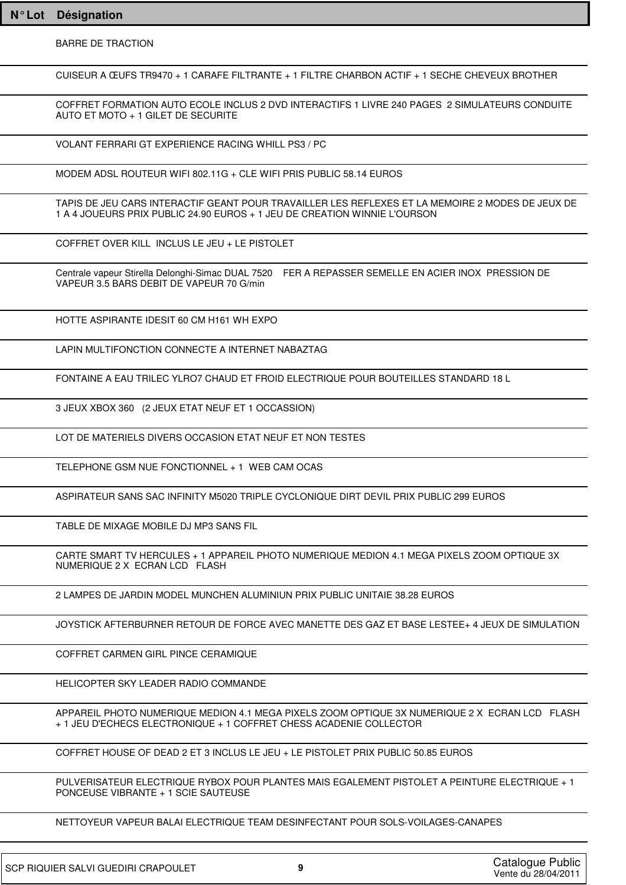BARRE DE TRACTION

CUISEUR A ŒUFS TR9470 + 1 CARAFE FILTRANTE + 1 FILTRE CHARBON ACTIF + 1 SECHE CHEVEUX BROTHER

COFFRET FORMATION AUTO ECOLE INCLUS 2 DVD INTERACTIFS 1 LIVRE 240 PAGES 2 SIMULATEURS CONDUITE AUTO ET MOTO + 1 GILET DE SECURITE

VOLANT FERRARI GT EXPERIENCE RACING WHILL PS3 / PC

MODEM ADSL ROUTEUR WIFI 802.11G + CLE WIFI PRIS PUBLIC 58.14 EUROS

TAPIS DE JEU CARS INTERACTIF GEANT POUR TRAVAILLER LES REFLEXES ET LA MEMOIRE 2 MODES DE JEUX DE 1 A 4 JOUEURS PRIX PUBLIC 24.90 EUROS + 1 JEU DE CREATION WINNIE L'OURSON

COFFRET OVER KILL INCLUS LE JEU + LE PISTOLET

Centrale vapeur Stirella Delonghi-Simac DUAL 7520 FER A REPASSER SEMELLE EN ACIER INOX PRESSION DE VAPEUR 3.5 BARS DEBIT DE VAPEUR 70 G/min

HOTTE ASPIRANTE IDESIT 60 CM H161 WH EXPO

LAPIN MULTIFONCTION CONNECTE A INTERNET NABAZTAG

FONTAINE A EAU TRILEC YLRO7 CHAUD ET FROID ELECTRIQUE POUR BOUTEILLES STANDARD 18 L

3 JEUX XBOX 360 (2 JEUX ETAT NEUF ET 1 OCCASSION)

LOT DE MATERIELS DIVERS OCCASION ETAT NEUF ET NON TESTES

TELEPHONE GSM NUE FONCTIONNEL + 1 WEB CAM OCAS

ASPIRATEUR SANS SAC INFINITY M5020 TRIPLE CYCLONIQUE DIRT DEVIL PRIX PUBLIC 299 EUROS

TABLE DE MIXAGE MOBILE DJ MP3 SANS FIL

CARTE SMART TV HERCULES + 1 APPAREIL PHOTO NUMERIQUE MEDION 4.1 MEGA PIXELS ZOOM OPTIQUE 3X NUMERIQUE 2 X ECRAN LCD FLASH

2 LAMPES DE JARDIN MODEL MUNCHEN ALUMINIUN PRIX PUBLIC UNITAIE 38.28 EUROS

JOYSTICK AFTERBURNER RETOUR DE FORCE AVEC MANETTE DES GAZ ET BASE LESTEE+ 4 JEUX DE SIMULATION

COFFRET CARMEN GIRL PINCE CERAMIQUE

HELICOPTER SKY LEADER RADIO COMMANDE

APPAREIL PHOTO NUMERIQUE MEDION 4.1 MEGA PIXELS ZOOM OPTIQUE 3X NUMERIQUE 2 X ECRAN LCD FLASH + 1 JEU D'ECHECS ELECTRONIQUE + 1 COFFRET CHESS ACADENIE COLLECTOR

COFFRET HOUSE OF DEAD 2 ET 3 INCLUS LE JEU + LE PISTOLET PRIX PUBLIC 50.85 EUROS

PULVERISATEUR ELECTRIQUE RYBOX POUR PLANTES MAIS EGALEMENT PISTOLET A PEINTURE ELECTRIQUE + 1 PONCEUSE VIBRANTE + 1 SCIE SAUTEUSE

NETTOYEUR VAPEUR BALAI ELECTRIQUE TEAM DESINFECTANT POUR SOLS-VOILAGES-CANAPES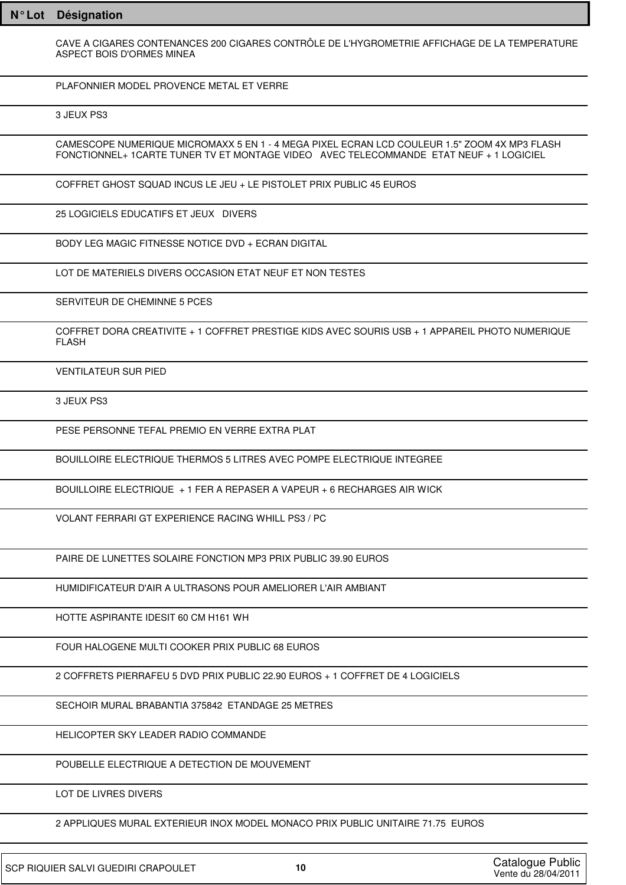CAVE A CIGARES CONTENANCES 200 CIGARES CONTRÔLE DE L'HYGROMETRIE AFFICHAGE DE LA TEMPERATURE ASPECT BOIS D'ORMES MINEA

PLAFONNIER MODEL PROVENCE METAL ET VERRE

3 JEUX PS3

CAMESCOPE NUMERIQUE MICROMAXX 5 EN 1 - 4 MEGA PIXEL ECRAN LCD COULEUR 1.5" ZOOM 4X MP3 FLASH FONCTIONNEL+ 1CARTE TUNER TV ET MONTAGE VIDEO AVEC TELECOMMANDE ETAT NEUF + 1 LOGICIEL

COFFRET GHOST SQUAD INCUS LE JEU + LE PISTOLET PRIX PUBLIC 45 EUROS

25 LOGICIELS EDUCATIFS ET JEUX DIVERS

BODY LEG MAGIC FITNESSE NOTICE DVD + ECRAN DIGITAL

LOT DE MATERIELS DIVERS OCCASION ETAT NEUF ET NON TESTES

SERVITEUR DE CHEMINNE 5 PCES

COFFRET DORA CREATIVITE + 1 COFFRET PRESTIGE KIDS AVEC SOURIS USB + 1 APPAREIL PHOTO NUMERIQUE FLASH

VENTILATEUR SUR PIED

3 JEUX PS3

PESE PERSONNE TEFAL PREMIO EN VERRE EXTRA PLAT

BOUILLOIRE ELECTRIQUE THERMOS 5 LITRES AVEC POMPE ELECTRIQUE INTEGREE

BOUILLOIRE ELECTRIQUE + 1 FER A REPASER A VAPEUR + 6 RECHARGES AIR WICK

VOLANT FERRARI GT EXPERIENCE RACING WHILL PS3 / PC

PAIRE DE LUNETTES SOLAIRE FONCTION MP3 PRIX PUBLIC 39.90 EUROS

HUMIDIFICATEUR D'AIR A ULTRASONS POUR AMELIORER L'AIR AMBIANT

HOTTE ASPIRANTE IDESIT 60 CM H161 WH

FOUR HALOGENE MULTI COOKER PRIX PUBLIC 68 EUROS

2 COFFRETS PIERRAFEU 5 DVD PRIX PUBLIC 22.90 EUROS + 1 COFFRET DE 4 LOGICIELS

SECHOIR MURAL BRABANTIA 375842 ETANDAGE 25 METRES

HELICOPTER SKY LEADER RADIO COMMANDE

POUBELLE ELECTRIQUE A DETECTION DE MOUVEMENT

LOT DE LIVRES DIVERS

2 APPLIQUES MURAL EXTERIEUR INOX MODEL MONACO PRIX PUBLIC UNITAIRE 71.75 EUROS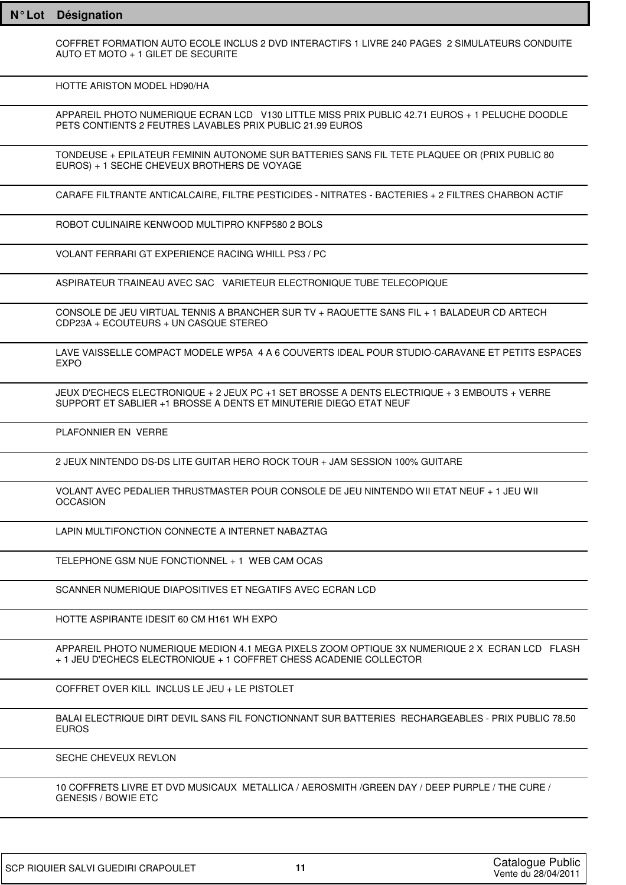COFFRET FORMATION AUTO ECOLE INCLUS 2 DVD INTERACTIFS 1 LIVRE 240 PAGES 2 SIMULATEURS CONDUITE AUTO FT MOTO  $+1$  GILET DE SECURITE

HOTTE ARISTON MODEL HD90/HA

APPAREIL PHOTO NUMERIQUE ECRAN LCD V130 LITTLE MISS PRIX PUBLIC 42.71 EUROS + 1 PELUCHE DOODLE PETS CONTIENTS 2 FEUTRES LAVABLES PRIX PUBLIC 21.99 EUROS

TONDEUSE + EPILATEUR FEMININ AUTONOME SUR BATTERIES SANS FIL TETE PLAQUEE OR (PRIX PUBLIC 80 EUROS) + 1 SECHE CHEVEUX BROTHERS DE VOYAGE

CARAFE FILTRANTE ANTICALCAIRE, FILTRE PESTICIDES - NITRATES - BACTERIES + 2 FILTRES CHARBON ACTIF

ROBOT CULINAIRE KENWOOD MULTIPRO KNFP580 2 BOLS

VOLANT FERRARI GT EXPERIENCE RACING WHILL PS3 / PC

ASPIRATEUR TRAINEAU AVEC SAC VARIETEUR ELECTRONIQUE TUBE TELECOPIQUE

CONSOLE DE JEU VIRTUAL TENNIS A BRANCHER SUR TV + RAQUETTE SANS FIL + 1 BALADEUR CD ARTECH CDP23A + ECOUTEURS + UN CASQUE STEREO

LAVE VAISSELLE COMPACT MODELE WP5A 4 A 6 COUVERTS IDEAL POUR STUDIO-CARAVANE ET PETITS ESPACES EXPO

JEUX D'ECHECS ELECTRONIQUE + 2 JEUX PC +1 SET BROSSE A DENTS ELECTRIQUE + 3 EMBOUTS + VERRE SUPPORT ET SABLIER +1 BROSSE A DENTS ET MINUTERIE DIEGO ETAT NEUF

PLAFONNIER EN VERRE

2 JEUX NINTENDO DS-DS LITE GUITAR HERO ROCK TOUR + JAM SESSION 100% GUITARE

VOLANT AVEC PEDALIER THRUSTMASTER POUR CONSOLE DE JEU NINTENDO WII ETAT NEUF + 1 JEU WII **OCCASION** 

LAPIN MULTIFONCTION CONNECTE A INTERNET NABAZTAG

TELEPHONE GSM NUE FONCTIONNEL + 1 WEB CAM OCAS

SCANNER NUMERIQUE DIAPOSITIVES ET NEGATIFS AVEC ECRAN LCD

HOTTE ASPIRANTE IDESIT 60 CM H161 WH EXPO

APPAREIL PHOTO NUMERIQUE MEDION 4.1 MEGA PIXELS ZOOM OPTIQUE 3X NUMERIQUE 2 X ECRAN LCD FLASH + 1 JEU D'ECHECS ELECTRONIQUE + 1 COFFRET CHESS ACADENIE COLLECTOR

COFFRET OVER KILL INCLUS LE JEU + LE PISTOLET

BALAI ELECTRIQUE DIRT DEVIL SANS FIL FONCTIONNANT SUR BATTERIES RECHARGEABLES - PRIX PUBLIC 78.50 EUROS

SECHE CHEVEUX REVLON

10 COFFRETS LIVRE ET DVD MUSICAUX METALLICA / AEROSMITH /GREEN DAY / DEEP PURPLE / THE CURE / GENESIS / BOWIE ETC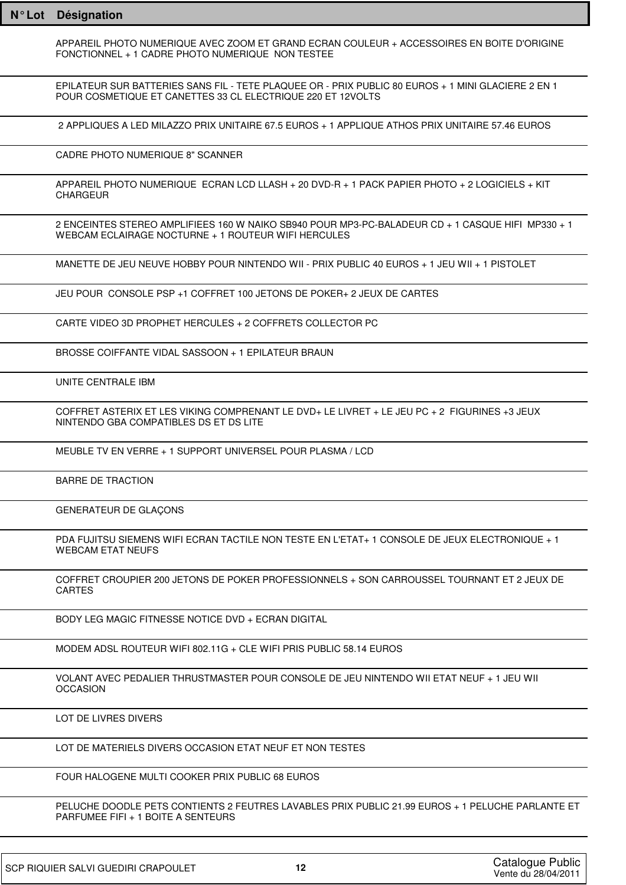| $N^{\circ}$ Lot | <b>Désignation</b>                                                                                                                                                |
|-----------------|-------------------------------------------------------------------------------------------------------------------------------------------------------------------|
|                 | APPAREIL PHOTO NUMERIQUE AVEC ZOOM ET GRAND ECRAN COULEUR + ACCESSOIRES EN BOITE D'ORIGINE<br>FONCTIONNEL + 1 CADRE PHOTO NUMERIQUE NON TESTEE                    |
|                 | EPILATEUR SUR BATTERIES SANS FIL - TETE PLAQUEE OR - PRIX PUBLIC 80 EUROS + 1 MINI GLACIERE 2 EN 1<br>POUR COSMETIQUE ET CANETTES 33 CL ELECTRIQUE 220 ET 12VOLTS |
|                 | 2 APPLIQUES A LED MILAZZO PRIX UNITAIRE 67.5 EUROS + 1 APPLIQUE ATHOS PRIX UNITAIRE 57.46 EUROS                                                                   |
|                 | CADRE PHOTO NUMERIQUE 8" SCANNER                                                                                                                                  |
|                 | APPAREIL PHOTO NUMERIQUE ECRAN LCD LLASH + 20 DVD-R + 1 PACK PAPIER PHOTO + 2 LOGICIELS + KIT<br><b>CHARGEUR</b>                                                  |
|                 | 2 ENCEINTES STEREO AMPLIFIEES 160 W NAIKO SB940 POUR MP3-PC-BALADEUR CD + 1 CASQUE HIFI MP330 + 1<br>WEBCAM ECLAIRAGE NOCTURNE + 1 ROUTEUR WIFI HERCULES          |
|                 | MANETTE DE JEU NEUVE HOBBY POUR NINTENDO WII - PRIX PUBLIC 40 EUROS + 1 JEU WII + 1 PISTOLET                                                                      |
|                 | JEU POUR CONSOLE PSP +1 COFFRET 100 JETONS DE POKER + 2 JEUX DE CARTES                                                                                            |
|                 | CARTE VIDEO 3D PROPHET HERCULES + 2 COFFRETS COLLECTOR PC                                                                                                         |
|                 | BROSSE COIFFANTE VIDAL SASSOON + 1 EPILATEUR BRAUN                                                                                                                |
|                 | UNITE CENTRALE IBM                                                                                                                                                |
|                 | COFFRET ASTERIX ET LES VIKING COMPRENANT LE DVD+ LE LIVRET + LE JEU PC + 2 FIGURINES +3 JEUX<br>NINTENDO GBA COMPATIBLES DS ET DS LITE                            |
|                 | MEUBLE TV EN VERRE + 1 SUPPORT UNIVERSEL POUR PLASMA / LCD                                                                                                        |
|                 | <b>BARRE DE TRACTION</b>                                                                                                                                          |
|                 | GENERATEUR DE GLAÇONS                                                                                                                                             |
|                 | PDA FUJITSU SIEMENS WIFI ECRAN TACTILE NON TESTE EN L'ETAT+ 1 CONSOLE DE JEUX ELECTRONIQUE + 1<br><b>WEBCAM ETAT NEUFS</b>                                        |
|                 | COFFRET CROUPIER 200 JETONS DE POKER PROFESSIONNELS + SON CARROUSSEL TOURNANT ET 2 JEUX DE<br><b>CARTES</b>                                                       |
|                 | BODY LEG MAGIC FITNESSE NOTICE DVD + ECRAN DIGITAL                                                                                                                |
|                 | MODEM ADSL ROUTEUR WIFI 802.11G + CLE WIFI PRIS PUBLIC 58.14 EUROS                                                                                                |
|                 | VOLANT AVEC PEDALIER THRUSTMASTER POUR CONSOLE DE JEU NINTENDO WII ETAT NEUF + 1 JEU WII<br><b>OCCASION</b>                                                       |
|                 | LOT DE LIVRES DIVERS                                                                                                                                              |
|                 | LOT DE MATERIELS DIVERS OCCASION ETAT NEUF ET NON TESTES                                                                                                          |
|                 | FOUR HALOGENE MULTI COOKER PRIX PUBLIC 68 EUROS                                                                                                                   |
|                 | PELUCHE DOODLE PETS CONTIENTS 2 FEUTRES LAVABLES PRIX PUBLIC 21.99 EUROS + 1 PELUCHE PARLANTE ET<br>PARFUMEE FIFI + 1 BOITE A SENTEURS                            |
|                 |                                                                                                                                                                   |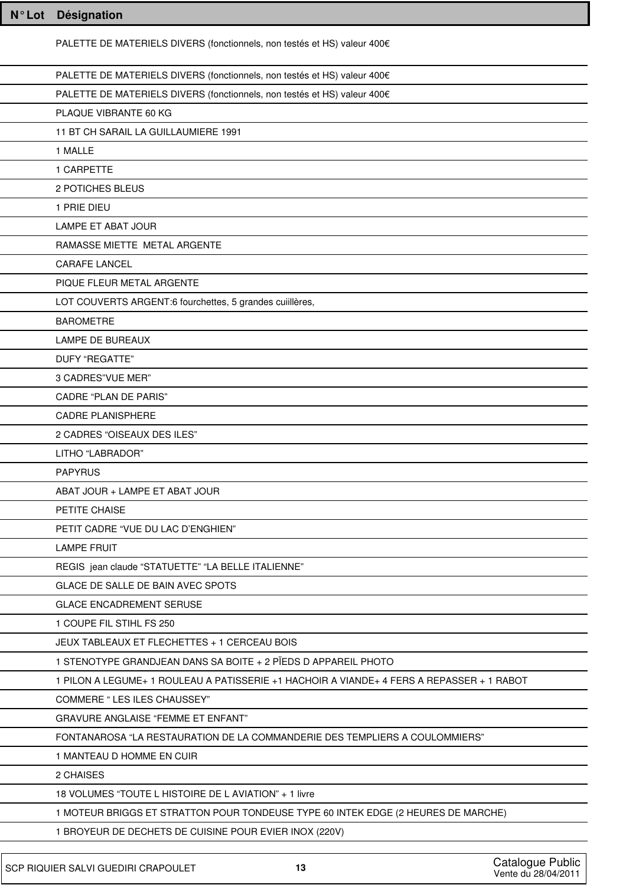| N°Lot Désignation                                                                         |
|-------------------------------------------------------------------------------------------|
| PALETTE DE MATERIELS DIVERS (fonctionnels, non testés et HS) valeur 400€                  |
| PALETTE DE MATERIELS DIVERS (fonctionnels, non testés et HS) valeur 400€                  |
| PALETTE DE MATERIELS DIVERS (fonctionnels, non testés et HS) valeur 400€                  |
| PLAQUE VIBRANTE 60 KG                                                                     |
| 11 BT CH SARAIL LA GUILLAUMIERE 1991                                                      |
| 1 MALLE                                                                                   |
| 1 CARPETTE                                                                                |
| 2 POTICHES BLEUS                                                                          |
| 1 PRIE DIEU                                                                               |
| LAMPE ET ABAT JOUR                                                                        |
| RAMASSE MIETTE METAL ARGENTE                                                              |
| <b>CARAFE LANCEL</b>                                                                      |
| PIQUE FLEUR METAL ARGENTE                                                                 |
| LOT COUVERTS ARGENT:6 fourchettes, 5 grandes cuillères,                                   |
| <b>BAROMETRE</b>                                                                          |
| <b>LAMPE DE BUREAUX</b>                                                                   |
| DUFY "REGATTE"                                                                            |
| 3 CADRES"VUE MER"                                                                         |
| <b>CADRE "PLAN DE PARIS"</b>                                                              |
| <b>CADRE PLANISPHERE</b>                                                                  |
| 2 CADRES "OISEAUX DES ILES"                                                               |
| LITHO "LABRADOR"                                                                          |
| <b>PAPYRUS</b>                                                                            |
| ABAT JOUR + LAMPE ET ABAT JOUR                                                            |
| PETITE CHAISE                                                                             |
| PETIT CADRE "VUE DU LAC D'ENGHIEN"                                                        |
| <b>LAMPE FRUIT</b>                                                                        |
| REGIS jean claude "STATUETTE" "LA BELLE ITALIENNE"                                        |
| GLACE DE SALLE DE BAIN AVEC SPOTS                                                         |
| <b>GLACE ENCADREMENT SERUSE</b>                                                           |
| 1 COUPE FIL STIHL FS 250                                                                  |
| JEUX TABLEAUX ET FLECHETTES + 1 CERCEAU BOIS                                              |
| 1 STENOTYPE GRANDJEAN DANS SA BOITE + 2 PÏEDS D APPAREIL PHOTO                            |
| 1 PILON A LEGUME+ 1 ROULEAU A PATISSERIE +1 HACHOIR A VIANDE+ 4 FERS A REPASSER + 1 RABOT |
| COMMERE " LES ILES CHAUSSEY"                                                              |
| <b>GRAVURE ANGLAISE "FEMME ET ENFANT"</b>                                                 |
| FONTANAROSA "LA RESTAURATION DE LA COMMANDERIE DES TEMPLIERS A COULOMMIERS"               |
| 1 MANTEAU D HOMME EN CUIR                                                                 |
| 2 CHAISES                                                                                 |
| 18 VOLUMES "TOUTE L HISTOIRE DE L AVIATION" + 1 livre                                     |
| 1 MOTEUR BRIGGS ET STRATTON POUR TONDEUSE TYPE 60 INTEK EDGE (2 HEURES DE MARCHE)         |
| 1 BROYEUR DE DECHETS DE CUISINE POUR EVIER INOX (220V)                                    |
|                                                                                           |

٦